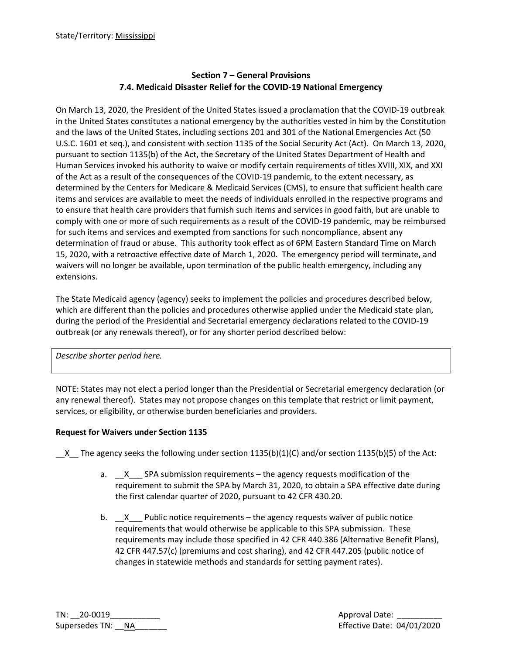# **Section 7 – General Provisions 7.4. Medicaid Disaster Relief for the COVID-19 National Emergency**

On March 13, 2020, the President of the United States issued a proclamation that the COVID-19 outbreak in the United States constitutes a national emergency by the authorities vested in him by the Constitution and the laws of the United States, including sections 201 and 301 of the National Emergencies Act (50 U.S.C. 1601 et seq.), and consistent with section 1135 of the Social Security Act (Act). On March 13, 2020, pursuant to section 1135(b) of the Act, the Secretary of the United States Department of Health and Human Services invoked his authority to waive or modify certain requirements of titles XVIII, XIX, and XXI of the Act as a result of the consequences of the COVID-19 pandemic, to the extent necessary, as determined by the Centers for Medicare & Medicaid Services (CMS), to ensure that sufficient health care items and services are available to meet the needs of individuals enrolled in the respective programs and to ensure that health care providers that furnish such items and services in good faith, but are unable to comply with one or more of such requirements as a result of the COVID-19 pandemic, may be reimbursed for such items and services and exempted from sanctions for such noncompliance, absent any determination of fraud or abuse. This authority took effect as of 6PM Eastern Standard Time on March 15, 2020, with a retroactive effective date of March 1, 2020. The emergency period will terminate, and waivers will no longer be available, upon termination of the public health emergency, including any extensions.

The State Medicaid agency (agency) seeks to implement the policies and procedures described below, which are different than the policies and procedures otherwise applied under the Medicaid state plan, during the period of the Presidential and Secretarial emergency declarations related to the COVID-19 outbreak (or any renewals thereof), or for any shorter period described below:

*Describe shorter period here.*

NOTE: States may not elect a period longer than the Presidential or Secretarial emergency declaration (or any renewal thereof). States may not propose changes on this template that restrict or limit payment, services, or eligibility, or otherwise burden beneficiaries and providers.

# **Request for Waivers under Section 1135**

X The agency seeks the following under section 1135(b)(1)(C) and/or section 1135(b)(5) of the Act:

- a.  $X$  SPA submission requirements the agency requests modification of the requirement to submit the SPA by March 31, 2020, to obtain a SPA effective date during the first calendar quarter of 2020, pursuant to 42 CFR 430.20.
- b.  $X$  Public notice requirements the agency requests waiver of public notice requirements that would otherwise be applicable to this SPA submission. These requirements may include those specified in 42 CFR 440.386 (Alternative Benefit Plans), 42 CFR 447.57(c) (premiums and cost sharing), and 42 CFR 447.205 (public notice of changes in statewide methods and standards for setting payment rates).

TN: \_\_20-0019\_\_\_\_\_\_\_\_\_\_\_ Approval Date: \_\_\_\_\_\_\_\_\_\_ Supersedes TN: \_\_NA\_\_\_\_\_\_\_ Effective Date: 04/01/2020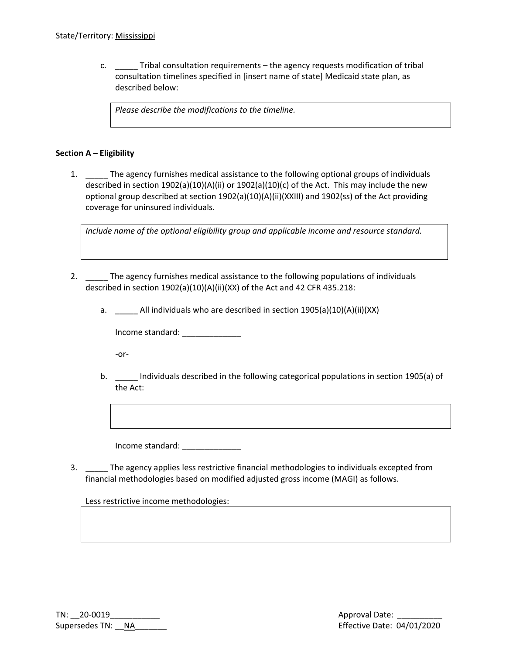c. \_\_\_\_\_ Tribal consultation requirements – the agency requests modification of tribal consultation timelines specified in [insert name of state] Medicaid state plan, as described below:

*Please describe the modifications to the timeline.*

#### **Section A – Eligibility**

1. \_\_\_\_\_ The agency furnishes medical assistance to the following optional groups of individuals described in section 1902(a)(10)(A)(ii) or 1902(a)(10)(c) of the Act. This may include the new optional group described at section 1902(a)(10)(A)(ii)(XXIII) and 1902(ss) of the Act providing coverage for uninsured individuals.

*Include name of the optional eligibility group and applicable income and resource standard.*

- 2. \_\_\_\_\_ The agency furnishes medical assistance to the following populations of individuals described in section 1902(a)(10)(A)(ii)(XX) of the Act and 42 CFR 435.218:
	- a. \_\_\_\_\_ All individuals who are described in section 1905(a)(10)(A)(ii)(XX)

Income standard: \_\_\_\_\_\_\_\_\_\_\_\_\_

-or-

b. \_\_\_\_ Individuals described in the following categorical populations in section 1905(a) of the Act:

Income standard: \_\_\_\_\_\_\_\_\_\_\_\_\_

3. \_\_\_\_\_ The agency applies less restrictive financial methodologies to individuals excepted from financial methodologies based on modified adjusted gross income (MAGI) as follows.

Less restrictive income methodologies:

| $TN: 20-0019$     |  |
|-------------------|--|
| Supersedes TN: NA |  |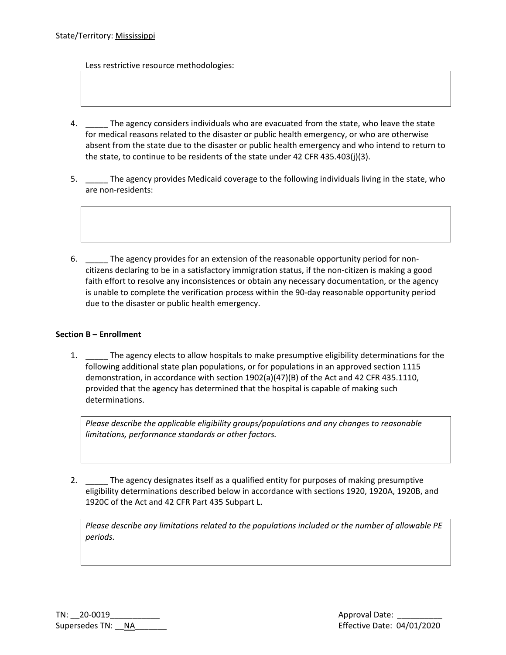Less restrictive resource methodologies:

- 4. The agency considers individuals who are evacuated from the state, who leave the state for medical reasons related to the disaster or public health emergency, or who are otherwise absent from the state due to the disaster or public health emergency and who intend to return to the state, to continue to be residents of the state under 42 CFR 435.403(j)(3).
- 5. \_\_\_\_\_ The agency provides Medicaid coverage to the following individuals living in the state, who are non-residents:
- 6. \_\_\_\_\_ The agency provides for an extension of the reasonable opportunity period for noncitizens declaring to be in a satisfactory immigration status, if the non-citizen is making a good faith effort to resolve any inconsistences or obtain any necessary documentation, or the agency is unable to complete the verification process within the 90-day reasonable opportunity period due to the disaster or public health emergency.

## **Section B – Enrollment**

1. \_\_\_\_\_ The agency elects to allow hospitals to make presumptive eligibility determinations for the following additional state plan populations, or for populations in an approved section 1115 demonstration, in accordance with section 1902(a)(47)(B) of the Act and 42 CFR 435.1110, provided that the agency has determined that the hospital is capable of making such determinations.

*Please describe the applicable eligibility groups/populations and any changes to reasonable limitations, performance standards or other factors.*

2. \_\_\_\_\_\_ The agency designates itself as a qualified entity for purposes of making presumptive eligibility determinations described below in accordance with sections 1920, 1920A, 1920B, and 1920C of the Act and 42 CFR Part 435 Subpart L.

*Please describe any limitations related to the populations included or the number of allowable PE periods.*

| $TN: 20-0019$     |  |
|-------------------|--|
| Supersedes TN: NA |  |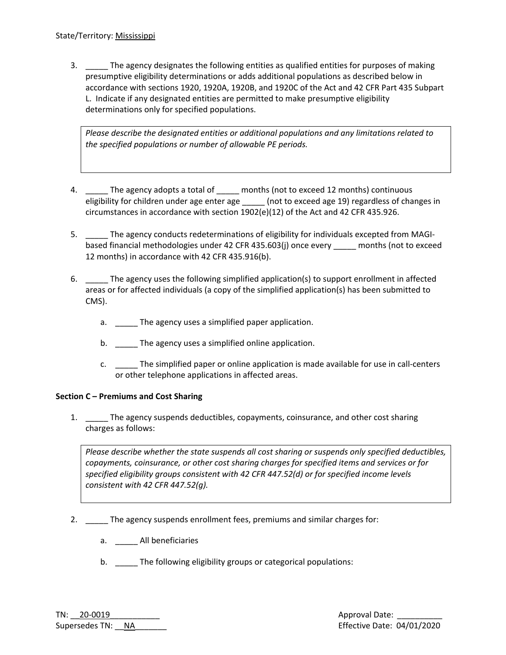3. \_\_\_\_\_ The agency designates the following entities as qualified entities for purposes of making presumptive eligibility determinations or adds additional populations as described below in accordance with sections 1920, 1920A, 1920B, and 1920C of the Act and 42 CFR Part 435 Subpart L. Indicate if any designated entities are permitted to make presumptive eligibility determinations only for specified populations.

*Please describe the designated entities or additional populations and any limitations related to the specified populations or number of allowable PE periods.*

- 4. The agency adopts a total of \_\_\_\_\_ months (not to exceed 12 months) continuous eligibility for children under age enter age \_\_\_\_\_ (not to exceed age 19) regardless of changes in circumstances in accordance with section 1902(e)(12) of the Act and 42 CFR 435.926.
- 5. \_\_\_\_\_ The agency conducts redeterminations of eligibility for individuals excepted from MAGIbased financial methodologies under 42 CFR 435.603(j) once every \_\_\_\_\_ months (not to exceed 12 months) in accordance with 42 CFR 435.916(b).
- 6. \_\_\_\_\_ The agency uses the following simplified application(s) to support enrollment in affected areas or for affected individuals (a copy of the simplified application(s) has been submitted to CMS).
	- a. \_\_\_\_\_\_ The agency uses a simplified paper application.
	- b. \_\_\_\_\_\_ The agency uses a simplified online application.
	- c. \_\_\_\_\_ The simplified paper or online application is made available for use in call-centers or other telephone applications in affected areas.

## **Section C – Premiums and Cost Sharing**

1. The agency suspends deductibles, copayments, coinsurance, and other cost sharing charges as follows:

*Please describe whether the state suspends all cost sharing or suspends only specified deductibles, copayments, coinsurance, or other cost sharing charges for specified items and services or for specified eligibility groups consistent with 42 CFR 447.52(d) or for specified income levels consistent with 42 CFR 447.52(g).*

- 2. \_\_\_\_\_ The agency suspends enrollment fees, premiums and similar charges for:
	- a. All beneficiaries
	- b. The following eligibility groups or categorical populations: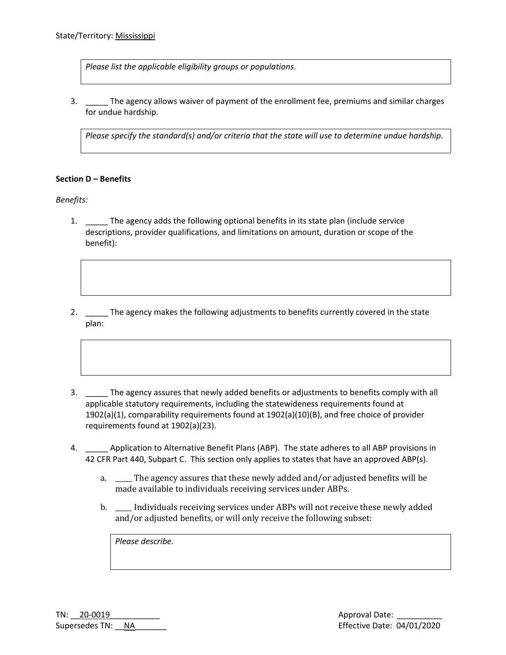*Please list the applicable eligibility groups or populations.*

3. \_\_\_\_\_ The agency allows waiver of payment of the enrollment fee, premiums and similar charges for undue hardship.

*Please specify the standard(s) and/or criteria that the state will use to determine undue hardship.* 

#### **Section D – Benefits**

*Benefits:*

- 1. \_\_\_\_\_ The agency adds the following optional benefits in its state plan (include service descriptions, provider qualifications, and limitations on amount, duration or scope of the benefit):
- 2. \_\_\_\_\_ The agency makes the following adjustments to benefits currently covered in the state plan:
- 3. \_\_\_\_\_ The agency assures that newly added benefits or adjustments to benefits comply with all applicable statutory requirements, including the statewideness requirements found at 1902(a)(1), comparability requirements found at 1902(a)(10)(B), and free choice of provider requirements found at 1902(a)(23).
- 4. \_\_\_\_\_ Application to Alternative Benefit Plans (ABP). The state adheres to all ABP provisions in 42 CFR Part 440, Subpart C. This section only applies to states that have an approved ABP(s).
	- a. \_\_\_\_\_ The agency assures that these newly added and/or adjusted benefits will be made available to individuals receiving services under ABPs.
	- b. \_\_\_\_\_ Individuals receiving services under ABPs will not receive these newly added and/or adjusted benefits, or will only receive the following subset:

*Please describe.*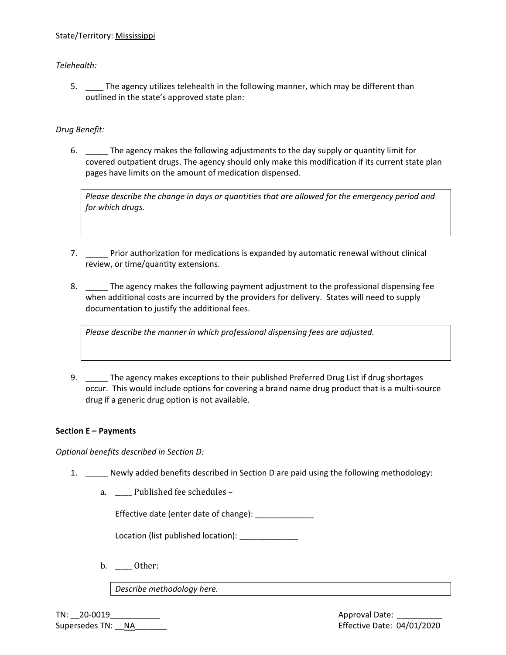## State/Territory: Mississippi

## *Telehealth:*

5. \_\_\_\_\_ The agency utilizes telehealth in the following manner, which may be different than outlined in the state's approved state plan:

## *Drug Benefit:*

6. \_\_\_\_\_ The agency makes the following adjustments to the day supply or quantity limit for covered outpatient drugs. The agency should only make this modification if its current state plan pages have limits on the amount of medication dispensed.

*Please describe the change in days or quantities that are allowed for the emergency period and for which drugs.* 

- 7. \_\_\_\_\_ Prior authorization for medications is expanded by automatic renewal without clinical review, or time/quantity extensions.
- 8. The agency makes the following payment adjustment to the professional dispensing fee when additional costs are incurred by the providers for delivery. States will need to supply documentation to justify the additional fees.

*Please describe the manner in which professional dispensing fees are adjusted.*

9. \_\_\_\_\_ The agency makes exceptions to their published Preferred Drug List if drug shortages occur. This would include options for covering a brand name drug product that is a multi-source drug if a generic drug option is not available.

## **Section E – Payments**

*Optional benefits described in Section D:*

- 1. \_\_\_\_\_ Newly added benefits described in Section D are paid using the following methodology:
	- a. \_\_\_\_\_ Published fee schedules –

Effective date (enter date of change): \_\_\_\_\_\_\_\_\_\_\_\_\_\_

Location (list published location): \_\_\_\_\_\_\_\_\_\_\_\_\_

b. Other:

*Describe methodology here.*

TN: \_\_20-0019\_\_\_\_\_\_\_\_\_\_\_ Approval Date: \_\_\_\_\_\_\_\_\_\_ Supersedes TN: \_\_NA\_\_\_\_\_\_\_ Effective Date: 04/01/2020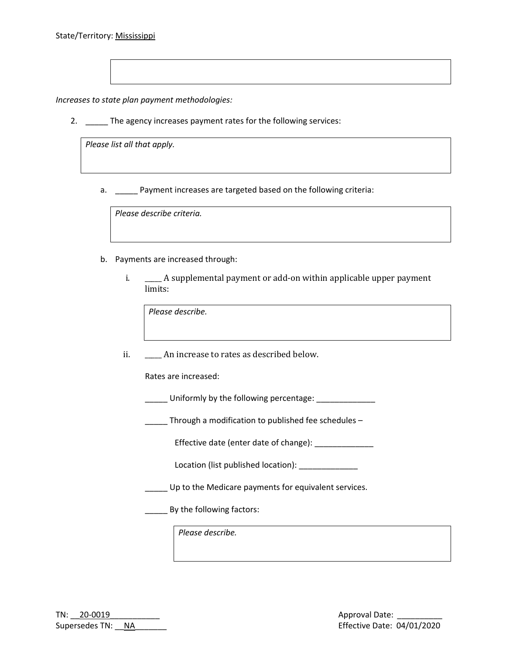*Increases to state plan payment methodologies:*

2. \_\_\_\_\_ The agency increases payment rates for the following services:

*Please list all that apply.*

a. \_\_\_\_\_ Payment increases are targeted based on the following criteria:

*Please describe criteria.*

- b. Payments are increased through:
	- i. \_\_\_\_\_ A supplemental payment or add-on within applicable upper payment limits:

*Please describe.*

ii. \_\_\_\_\_\_ An increase to rates as described below.

Rates are increased:

Latter Uniformly by the following percentage: Latter Uniformly by the following percentage:

\_\_\_\_\_ Through a modification to published fee schedules -

Effective date (enter date of change): \_\_\_\_\_\_\_\_\_\_\_\_\_

Location (list published location):

\_\_\_\_\_ Up to the Medicare payments for equivalent services.

\_\_\_\_\_ By the following factors:

*Please describe.*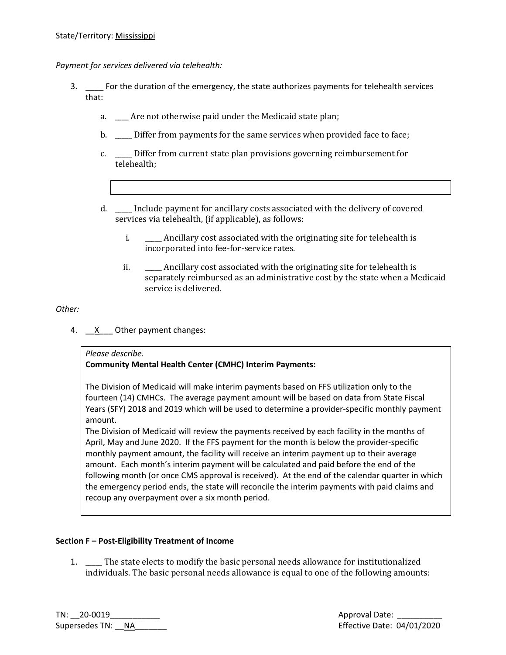*Payment for services delivered via telehealth:*

- 3. \_\_\_\_ For the duration of the emergency, the state authorizes payments for telehealth services that:
	- a. \_\_\_\_ Are not otherwise paid under the Medicaid state plan;
	- b. **Differ from payments for the same services when provided face to face;**
	- c. \_\_\_\_\_ Differ from current state plan provisions governing reimbursement for telehealth;
	- d. \_\_\_\_\_ Include payment for ancillary costs associated with the delivery of covered services via telehealth, (if applicable), as follows:
		- i. \_\_\_\_\_ Ancillary cost associated with the originating site for telehealth is incorporated into fee-for-service rates.
		- ii. \_\_\_\_\_ Ancillary cost associated with the originating site for telehealth is separately reimbursed as an administrative cost by the state when a Medicaid service is delivered.

# *Other:*

4.  $X$  Other payment changes:

## *Please describe.*

# **Community Mental Health Center (CMHC) Interim Payments:**

The Division of Medicaid will make interim payments based on FFS utilization only to the fourteen (14) CMHCs. The average payment amount will be based on data from State Fiscal Years (SFY) 2018 and 2019 which will be used to determine a provider-specific monthly payment amount.

The Division of Medicaid will review the payments received by each facility in the months of April, May and June 2020. If the FFS payment for the month is below the provider-specific monthly payment amount, the facility will receive an interim payment up to their average amount. Each month's interim payment will be calculated and paid before the end of the following month (or once CMS approval is received). At the end of the calendar quarter in which the emergency period ends, the state will reconcile the interim payments with paid claims and recoup any overpayment over a six month period.

# **Section F – Post-Eligibility Treatment of Income**

1. \_\_\_\_\_ The state elects to modify the basic personal needs allowance for institutionalized individuals. The basic personal needs allowance is equal to one of the following amounts:

|                   | $TN: 20-0019$ |  |
|-------------------|---------------|--|
| Supersedes TN: NA |               |  |